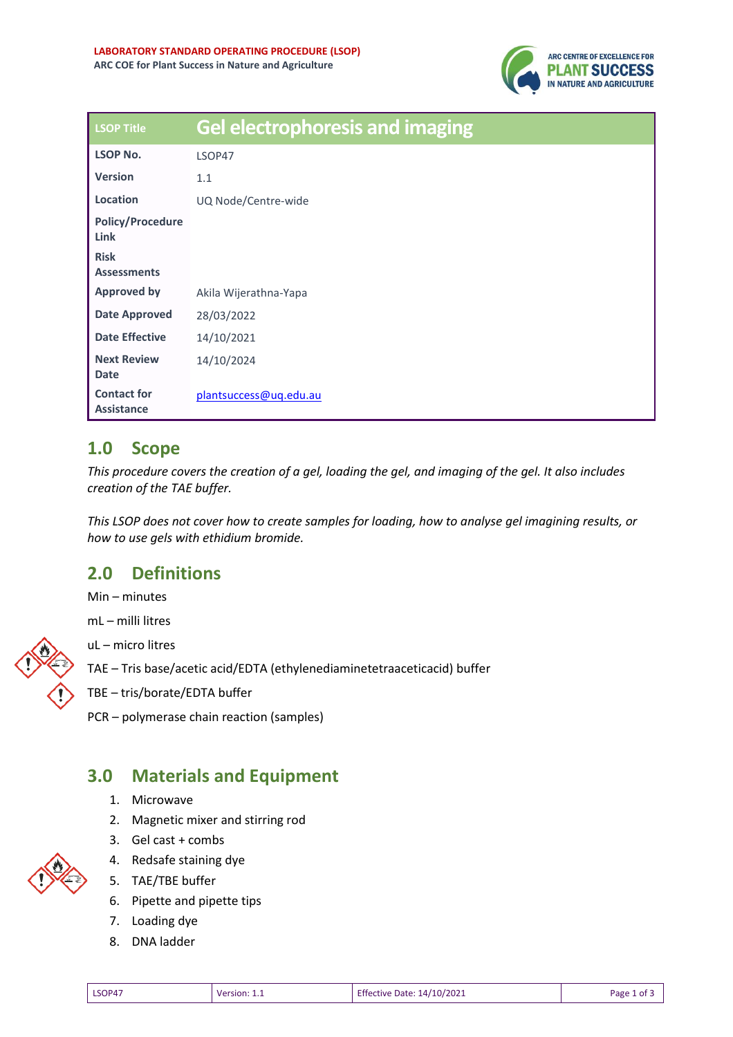

| <b>LSOP Title</b>                       | <b>Gel electrophoresis and imaging</b> |
|-----------------------------------------|----------------------------------------|
| <b>LSOP No.</b>                         | LSOP47                                 |
| <b>Version</b>                          | 1.1                                    |
| Location                                | UQ Node/Centre-wide                    |
| <b>Policy/Procedure</b><br>Link         |                                        |
| <b>Risk</b><br><b>Assessments</b>       |                                        |
| <b>Approved by</b>                      | Akila Wijerathna-Yapa                  |
| Date Approved                           | 28/03/2022                             |
| <b>Date Effective</b>                   | 14/10/2021                             |
| <b>Next Review</b><br><b>Date</b>       | 14/10/2024                             |
| <b>Contact for</b><br><b>Assistance</b> | plantsuccess@uq.edu.au                 |

## **1.0 Scope**

*This procedure covers the creation of a gel, loading the gel, and imaging of the gel. It also includes creation of the TAE buffer.* 

*This LSOP does not cover how to create samples for loading, how to analyse gel imagining results, or how to use gels with ethidium bromide.* 

# **2.0 Definitions**

Min – minutes

mL – milli litres

uL – micro litres

TAE – Tris base/acetic acid/EDTA (ethylenediaminetetraaceticacid) buffer

- TBE tris/borate/EDTA buffer
- PCR polymerase chain reaction (samples)

### **3.0 Materials and Equipment**

- 1. Microwave
- 2. Magnetic mixer and stirring rod
- 3. Gel cast + combs
- 4. Redsafe staining dye
- 5. TAE/TBE buffer
- 6. Pipette and pipette tips
- 7. Loading dye
- 8. DNA ladder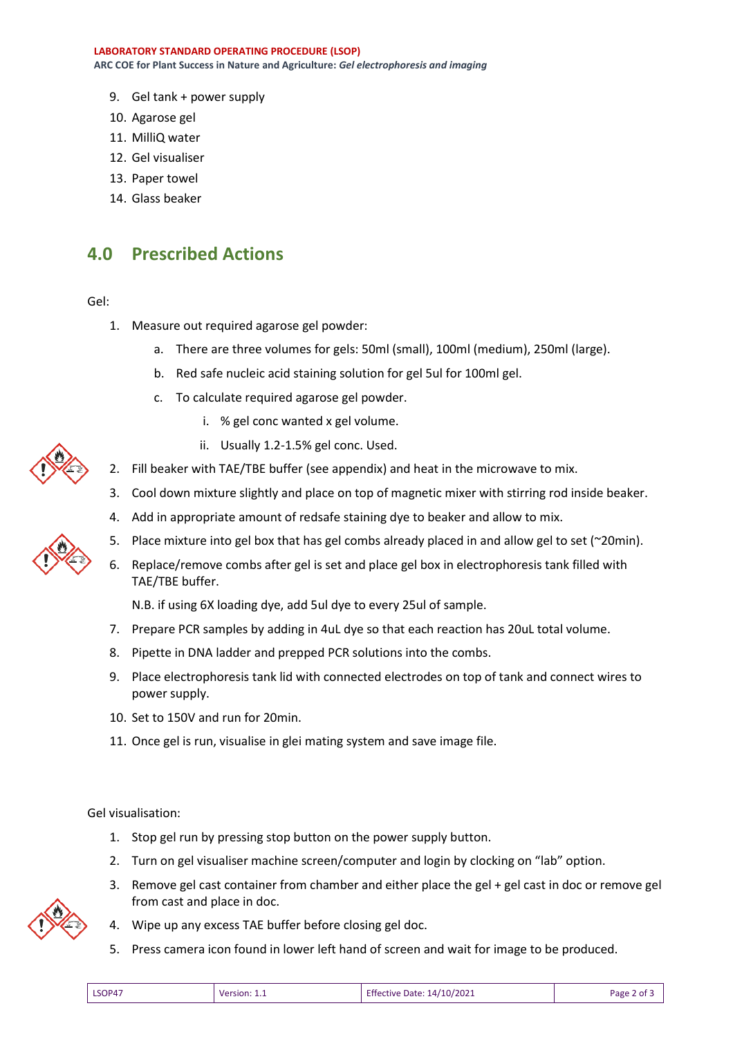**LABORATORY STANDARD OPERATING PROCEDURE (LSOP) ARC COE for Plant Success in Nature and Agriculture:** *Gel electrophoresis and imaging*

- 9. Gel tank + power supply
- 10. Agarose gel
- 11. MilliQ water
- 12. Gel visualiser
- 13. Paper towel
- 14. Glass beaker

#### **4.0 Prescribed Actions**

Gel:

- 1. Measure out required agarose gel powder:
	- a. There are three volumes for gels: 50ml (small), 100ml (medium), 250ml (large).
	- b. Red safe nucleic acid staining solution for gel 5ul for 100ml gel.
	- c. To calculate required agarose gel powder.
		- i. % gel conc wanted x gel volume.
		- ii. Usually 1.2-1.5% gel conc. Used.
- 2. Fill beaker with TAE/TBE buffer (see appendix) and heat in the microwave to mix.
- 3. Cool down mixture slightly and place on top of magnetic mixer with stirring rod inside beaker.
- 4. Add in appropriate amount of redsafe staining dye to beaker and allow to mix.
- 5. Place mixture into gel box that has gel combs already placed in and allow gel to set (~20min).
- 6. Replace/remove combs after gel is set and place gel box in electrophoresis tank filled with TAE/TBE buffer.

N.B. if using 6X loading dye, add 5ul dye to every 25ul of sample.

- 7. Prepare PCR samples by adding in 4uL dye so that each reaction has 20uL total volume.
- 8. Pipette in DNA ladder and prepped PCR solutions into the combs.
- 9. Place electrophoresis tank lid with connected electrodes on top of tank and connect wires to power supply.
- 10. Set to 150V and run for 20min.
- 11. Once gel is run, visualise in glei mating system and save image file.

Gel visualisation:

- 1. Stop gel run by pressing stop button on the power supply button.
- 2. Turn on gel visualiser machine screen/computer and login by clocking on "lab" option.
- 3. Remove gel cast container from chamber and either place the gel + gel cast in doc or remove gel from cast and place in doc.



- 4. Wipe up any excess TAE buffer before closing gel doc.
- 5. Press camera icon found in lower left hand of screen and wait for image to be produced.

| LSOP47<br>Version: | <b>Effective Date: 14/10/2021</b> | Page 2 of 5 |
|--------------------|-----------------------------------|-------------|
|                    |                                   |             |